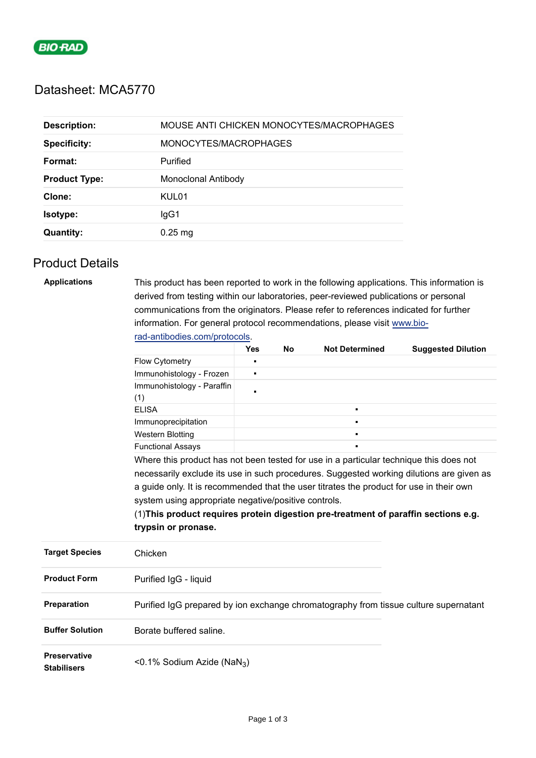

# Datasheet: MCA5770

| <b>Description:</b>  | MOUSE ANTI CHICKEN MONOCYTES/MACROPHAGES |
|----------------------|------------------------------------------|
| <b>Specificity:</b>  | MONOCYTES/MACROPHAGES                    |
| Format:              | Purified                                 |
| <b>Product Type:</b> | Monoclonal Antibody                      |
| Clone:               | KUL01                                    |
| <b>Isotype:</b>      | lgG1                                     |
| <b>Quantity:</b>     | $0.25$ mg                                |

## Product Details

| <b>Applications</b>                       | This product has been reported to work in the following applications. This information is<br>derived from testing within our laboratories, peer-reviewed publications or personal |                |           |                       |                           |  |  |  |
|-------------------------------------------|-----------------------------------------------------------------------------------------------------------------------------------------------------------------------------------|----------------|-----------|-----------------------|---------------------------|--|--|--|
|                                           | communications from the originators. Please refer to references indicated for further                                                                                             |                |           |                       |                           |  |  |  |
|                                           | information. For general protocol recommendations, please visit www.bio-                                                                                                          |                |           |                       |                           |  |  |  |
|                                           | rad-antibodies.com/protocols.                                                                                                                                                     |                |           |                       |                           |  |  |  |
|                                           |                                                                                                                                                                                   | <b>Yes</b>     | <b>No</b> | <b>Not Determined</b> | <b>Suggested Dilution</b> |  |  |  |
|                                           | Flow Cytometry                                                                                                                                                                    | п              |           |                       |                           |  |  |  |
|                                           | Immunohistology - Frozen                                                                                                                                                          | ٠              |           |                       |                           |  |  |  |
|                                           | Immunohistology - Paraffin<br>(1)                                                                                                                                                 | $\blacksquare$ |           |                       |                           |  |  |  |
|                                           | <b>ELISA</b>                                                                                                                                                                      |                |           | $\blacksquare$        |                           |  |  |  |
|                                           | Immunoprecipitation                                                                                                                                                               |                |           |                       |                           |  |  |  |
|                                           | <b>Western Blotting</b>                                                                                                                                                           |                |           |                       |                           |  |  |  |
|                                           | <b>Functional Assays</b>                                                                                                                                                          |                |           |                       |                           |  |  |  |
|                                           | Where this product has not been tested for use in a particular technique this does not                                                                                            |                |           |                       |                           |  |  |  |
|                                           | necessarily exclude its use in such procedures. Suggested working dilutions are given as                                                                                          |                |           |                       |                           |  |  |  |
|                                           | a guide only. It is recommended that the user titrates the product for use in their own                                                                                           |                |           |                       |                           |  |  |  |
|                                           | system using appropriate negative/positive controls.                                                                                                                              |                |           |                       |                           |  |  |  |
|                                           | (1) This product requires protein digestion pre-treatment of paraffin sections e.g.                                                                                               |                |           |                       |                           |  |  |  |
|                                           | trypsin or pronase.                                                                                                                                                               |                |           |                       |                           |  |  |  |
| <b>Target Species</b>                     | Chicken                                                                                                                                                                           |                |           |                       |                           |  |  |  |
| <b>Product Form</b>                       | Purified IgG - liquid                                                                                                                                                             |                |           |                       |                           |  |  |  |
| Preparation                               | Purified IgG prepared by ion exchange chromatography from tissue culture supernatant                                                                                              |                |           |                       |                           |  |  |  |
| <b>Buffer Solution</b>                    | Borate buffered saline.                                                                                                                                                           |                |           |                       |                           |  |  |  |
| <b>Preservative</b><br><b>Stabilisers</b> | <0.1% Sodium Azide (NaN <sub>3</sub> )                                                                                                                                            |                |           |                       |                           |  |  |  |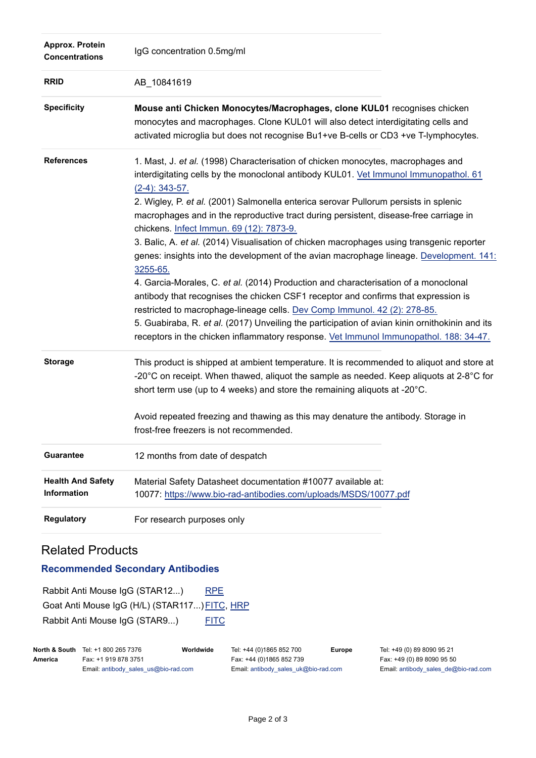| Approx. Protein<br><b>Concentrations</b> | IgG concentration 0.5mg/ml                                                                                                                                                                                                                                                                                                                                                                                                                                                                                                                                                                                                                                                                                                                                                                                                                                                                                                                                                                                                                                                          |
|------------------------------------------|-------------------------------------------------------------------------------------------------------------------------------------------------------------------------------------------------------------------------------------------------------------------------------------------------------------------------------------------------------------------------------------------------------------------------------------------------------------------------------------------------------------------------------------------------------------------------------------------------------------------------------------------------------------------------------------------------------------------------------------------------------------------------------------------------------------------------------------------------------------------------------------------------------------------------------------------------------------------------------------------------------------------------------------------------------------------------------------|
| <b>RRID</b>                              | AB_10841619                                                                                                                                                                                                                                                                                                                                                                                                                                                                                                                                                                                                                                                                                                                                                                                                                                                                                                                                                                                                                                                                         |
| <b>Specificity</b>                       | Mouse anti Chicken Monocytes/Macrophages, clone KUL01 recognises chicken<br>monocytes and macrophages. Clone KUL01 will also detect interdigitating cells and<br>activated microglia but does not recognise Bu1+ve B-cells or CD3 +ve T-lymphocytes.                                                                                                                                                                                                                                                                                                                                                                                                                                                                                                                                                                                                                                                                                                                                                                                                                                |
| <b>References</b>                        | 1. Mast, J. et al. (1998) Characterisation of chicken monocytes, macrophages and<br>interdigitating cells by the monoclonal antibody KUL01. Vet Immunol Immunopathol. 61<br>$(2-4)$ : 343-57.<br>2. Wigley, P. et al. (2001) Salmonella enterica serovar Pullorum persists in splenic<br>macrophages and in the reproductive tract during persistent, disease-free carriage in<br>chickens. Infect Immun. 69 (12): 7873-9.<br>3. Balic, A. et al. (2014) Visualisation of chicken macrophages using transgenic reporter<br>genes: insights into the development of the avian macrophage lineage. Development. 141:<br>3255-65.<br>4. Garcia-Morales, C. et al. (2014) Production and characterisation of a monoclonal<br>antibody that recognises the chicken CSF1 receptor and confirms that expression is<br>restricted to macrophage-lineage cells. Dev Comp Immunol. 42 (2): 278-85.<br>5. Guabiraba, R. et al. (2017) Unveiling the participation of avian kinin ornithokinin and its<br>receptors in the chicken inflammatory response. Vet Immunol Immunopathol. 188: 34-47. |
| <b>Storage</b>                           | This product is shipped at ambient temperature. It is recommended to aliquot and store at<br>-20 $^{\circ}$ C on receipt. When thawed, aliquot the sample as needed. Keep aliquots at 2-8 $^{\circ}$ C for<br>short term use (up to 4 weeks) and store the remaining aliquots at -20°C.<br>Avoid repeated freezing and thawing as this may denature the antibody. Storage in<br>frost-free freezers is not recommended.                                                                                                                                                                                                                                                                                                                                                                                                                                                                                                                                                                                                                                                             |
| <b>Guarantee</b>                         | 12 months from date of despatch                                                                                                                                                                                                                                                                                                                                                                                                                                                                                                                                                                                                                                                                                                                                                                                                                                                                                                                                                                                                                                                     |
| <b>Health And Safety</b><br>Information  | Material Safety Datasheet documentation #10077 available at:<br>10077: https://www.bio-rad-antibodies.com/uploads/MSDS/10077.pdf                                                                                                                                                                                                                                                                                                                                                                                                                                                                                                                                                                                                                                                                                                                                                                                                                                                                                                                                                    |
| <b>Regulatory</b>                        | For research purposes only                                                                                                                                                                                                                                                                                                                                                                                                                                                                                                                                                                                                                                                                                                                                                                                                                                                                                                                                                                                                                                                          |

## Related Products

#### **Recommended Secondary Antibodies**

Rabbit Anti Mouse IgG (STAR12...) [RPE](https://www.bio-rad-antibodies.com/polyclonal/mouse-igg-antibody-star12.html) Goat Anti Mouse IgG (H/L) (STAR117...) FITC, [HRP](https://www.bio-rad-antibodies.com/polyclonal/mouse-igg-antibody-star117.html?f=hrp) Rabbit Anti Mouse IgG (STAR9...) [FITC](https://www.bio-rad-antibodies.com/polyclonal/mouse-igg-antibody-star9.html)

|         | <b>North &amp; South</b> Tel: +1 800 265 7376 | Worldwide | Tel: +44 (0)1865 852 700             | Eur |
|---------|-----------------------------------------------|-----------|--------------------------------------|-----|
| America | Fax: +1 919 878 3751                          |           | Fax: +44 (0)1865 852 739             |     |
|         | Email: antibody sales us@bio-rad.com          |           | Email: antibody sales uk@bio-rad.com |     |

**Fope** Tel: +49 (0) 89 8090 95 21 Fax: +49 (0) 89 8090 95 50 Email: [antibody\\_sales\\_de@bio-rad.com](mailto:antibody_sales_de@bio-rad.com)